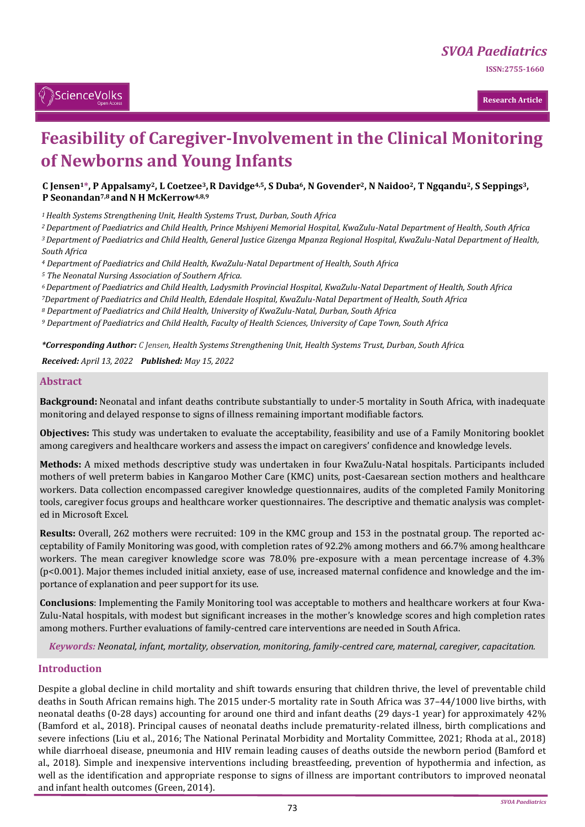**ISSN:2755-1660** 

# ै़ScienceVolks

**Research Article**

# **Feasibility of Caregiver-Involvement in the Clinical Monitoring of Newborns and Young Infants**

#### C Jensen<sup>1\*</sup>, P Appalsamy<sup>2</sup>, L Coetzee<sup>3</sup>, R Davidge<sup>4,5</sup>, S Duba<sup>6</sup>, N Govender<sup>2</sup>, N Naidoo<sup>2</sup>, T Ngqandu<sup>2</sup>, S Seppings<sup>3</sup>, **P Seonandan<sup>7,8</sup> and N H McKerrow<sup>4,8,9</sup>**

*<sup>1</sup>Health Systems Strengthening Unit, Health Systems Trust, Durban, South Africa*

*<sup>2</sup>Department of Paediatrics and Child Health, Prince Mshiyeni Memorial Hospital, KwaZulu-Natal Department of Health, South Africa <sup>3</sup>Department of Paediatrics and Child Health, General Justice Gizenga Mpanza Regional Hospital, KwaZulu-Natal Department of Health,* 

*South Africa* 

*<sup>4</sup> Department of Paediatrics and Child Health, KwaZulu-Natal Department of Health, South Africa* 

*<sup>5</sup> The Neonatal Nursing Association of Southern Africa.*

*<sup>6</sup>Department of Paediatrics and Child Health, Ladysmith Provincial Hospital, KwaZulu-Natal Department of Health, South Africa <sup>7</sup>Department of Paediatrics and Child Health, Edendale Hospital, KwaZulu-Natal Department of Health, South Africa* 

*<sup>8</sup> Department of Paediatrics and Child Health, University of KwaZulu-Natal, Durban, South Africa* 

*<sup>9</sup> Department of Paediatrics and Child Health, Faculty of Health Sciences, University of Cape Town, South Africa* 

*\*Corresponding Author: C Jensen, Health Systems Strengthening Unit, Health Systems Trust, Durban, South Africa.*

*Received: April 13, 2022 Published: May 15, 2022*

#### **Abstract**

**Background:** Neonatal and infant deaths contribute substantially to under-5 mortality in South Africa, with inadequate monitoring and delayed response to signs of illness remaining important modifiable factors.

**Objectives:** This study was undertaken to evaluate the acceptability, feasibility and use of a Family Monitoring booklet among caregivers and healthcare workers and assess the impact on caregivers' confidence and knowledge levels.

**Methods:** A mixed methods descriptive study was undertaken in four KwaZulu-Natal hospitals. Participants included mothers of well preterm babies in Kangaroo Mother Care (KMC) units, post-Caesarean section mothers and healthcare workers. Data collection encompassed caregiver knowledge questionnaires, audits of the completed Family Monitoring tools, caregiver focus groups and healthcare worker questionnaires. The descriptive and thematic analysis was completed in Microsoft Excel.

**Results:** Overall, 262 mothers were recruited: 109 in the KMC group and 153 in the postnatal group. The reported acceptability of Family Monitoring was good, with completion rates of 92.2% among mothers and 66.7% among healthcare workers. The mean caregiver knowledge score was 78.0% pre-exposure with a mean percentage increase of 4.3% (p<0.001). Major themes included initial anxiety, ease of use, increased maternal confidence and knowledge and the importance of explanation and peer support for its use.

**Conclusions**: Implementing the Family Monitoring tool was acceptable to mothers and healthcare workers at four Kwa-Zulu-Natal hospitals, with modest but significant increases in the mother's knowledge scores and high completion rates among mothers. Further evaluations of family-centred care interventions are needed in South Africa.

*Keywords: Neonatal, infant, mortality, observation, monitoring, family-centred care, maternal, caregiver, capacitation.*

#### **Introduction**

Despite a global decline in child mortality and shift towards ensuring that children thrive, the level of preventable child deaths in South African remains high. The 2015 under-5 mortality rate in South Africa was 37–44/1000 live births, with neonatal deaths (0-28 days) accounting for around one third and infant deaths (29 days-1 year) for approximately 42% (Bamford et al., 2018). Principal causes of neonatal deaths include prematurity-related illness, birth complications and severe infections (Liu et al., 2016; The National Perinatal Morbidity and Mortality Committee, 2021; Rhoda at al., 2018) while diarrhoeal disease, pneumonia and HIV remain leading causes of deaths outside the newborn period (Bamford et al., 2018). Simple and inexpensive interventions including breastfeeding, prevention of hypothermia and infection, as well as the identification and appropriate response to signs of illness are important contributors to improved neonatal and infant health outcomes (Green, 2014).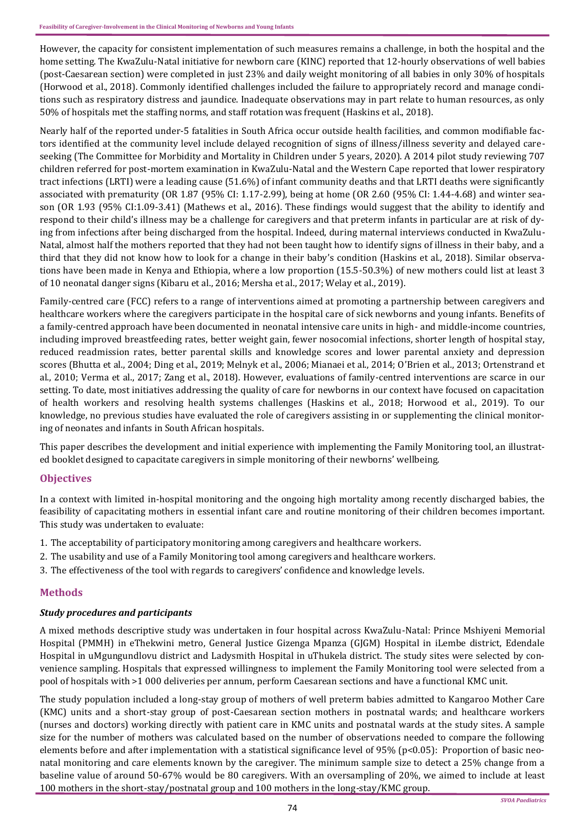However, the capacity for consistent implementation of such measures remains a challenge, in both the hospital and the home setting. The KwaZulu-Natal initiative for newborn care (KINC) reported that 12-hourly observations of well babies (post-Caesarean section) were completed in just 23% and daily weight monitoring of all babies in only 30% of hospitals (Horwood et al., 2018). Commonly identified challenges included the failure to appropriately record and manage conditions such as respiratory distress and jaundice. Inadequate observations may in part relate to human resources, as only 50% of hospitals met the staffing norms, and staff rotation was frequent (Haskins et al., 2018).

Nearly half of the reported under-5 fatalities in South Africa occur outside health facilities, and common modifiable factors identified at the community level include delayed recognition of signs of illness/illness severity and delayed careseeking (The Committee for Morbidity and Mortality in Children under 5 years, 2020). A 2014 pilot study reviewing 707 children referred for post-mortem examination in KwaZulu-Natal and the Western Cape reported that lower respiratory tract infections (LRTI) were a leading cause (51.6%) of infant community deaths and that LRTI deaths were significantly associated with prematurity (OR 1.87 (95% CI: 1.17-2.99), being at home (OR 2.60 (95% CI: 1.44-4.68) and winter season (OR 1.93 (95% CI:1.09-3.41) (Mathews et al., 2016). These findings would suggest that the ability to identify and respond to their child's illness may be a challenge for caregivers and that preterm infants in particular are at risk of dying from infections after being discharged from the hospital. Indeed, during maternal interviews conducted in KwaZulu-Natal, almost half the mothers reported that they had not been taught how to identify signs of illness in their baby, and a third that they did not know how to look for a change in their baby's condition (Haskins et al., 2018). Similar observations have been made in Kenya and Ethiopia, where a low proportion (15.5-50.3%) of new mothers could list at least 3 of 10 neonatal danger signs (Kibaru et al., 2016; Mersha et al., 2017; Welay et al., 2019).

Family-centred care (FCC) refers to a range of interventions aimed at promoting a partnership between caregivers and healthcare workers where the caregivers participate in the hospital care of sick newborns and young infants. Benefits of a family-centred approach have been documented in neonatal intensive care units in high- and middle-income countries, including improved breastfeeding rates, better weight gain, fewer nosocomial infections, shorter length of hospital stay, reduced readmission rates, better parental skills and knowledge scores and lower parental anxiety and depression scores (Bhutta et al., 2004; Ding et al., 2019; Melnyk et al., 2006; Mianaei et al., 2014; O'Brien et al., 2013; Ortenstrand et al., 2010; Verma et al., 2017; Zang et al., 2018). However, evaluations of family-centred interventions are scarce in our setting. To date, most initiatives addressing the quality of care for newborns in our context have focused on capacitation of health workers and resolving health systems challenges (Haskins et al., 2018; Horwood et al., 2019). To our knowledge, no previous studies have evaluated the role of caregivers assisting in or supplementing the clinical monitoring of neonates and infants in South African hospitals.

This paper describes the development and initial experience with implementing the Family Monitoring tool, an illustrated booklet designed to capacitate caregivers in simple monitoring of their newborns' wellbeing.

# **Objectives**

In a context with limited in-hospital monitoring and the ongoing high mortality among recently discharged babies, the feasibility of capacitating mothers in essential infant care and routine monitoring of their children becomes important. This study was undertaken to evaluate:

- 1. The acceptability of participatory monitoring among caregivers and healthcare workers.
- 2. The usability and use of a Family Monitoring tool among caregivers and healthcare workers.
- 3. The effectiveness of the tool with regards to caregivers' confidence and knowledge levels.

# **Methods**

#### *Study procedures and participants*

A mixed methods descriptive study was undertaken in four hospital across KwaZulu-Natal: Prince Mshiyeni Memorial Hospital (PMMH) in eThekwini metro, General Justice Gizenga Mpanza (GJGM) Hospital in iLembe district, Edendale Hospital in uMgungundlovu district and Ladysmith Hospital in uThukela district. The study sites were selected by convenience sampling. Hospitals that expressed willingness to implement the Family Monitoring tool were selected from a pool of hospitals with >1 000 deliveries per annum, perform Caesarean sections and have a functional KMC unit.

The study population included a long-stay group of mothers of well preterm babies admitted to Kangaroo Mother Care (KMC) units and a short-stay group of post-Caesarean section mothers in postnatal wards; and healthcare workers (nurses and doctors) working directly with patient care in KMC units and postnatal wards at the study sites. A sample size for the number of mothers was calculated based on the number of observations needed to compare the following elements before and after implementation with a statistical significance level of 95% (p<0.05): Proportion of basic neonatal monitoring and care elements known by the caregiver. The minimum sample size to detect a 25% change from a baseline value of around 50-67% would be 80 caregivers. With an oversampling of 20%, we aimed to include at least 100 mothers in the short-stay/postnatal group and 100 mothers in the long-stay/KMC group.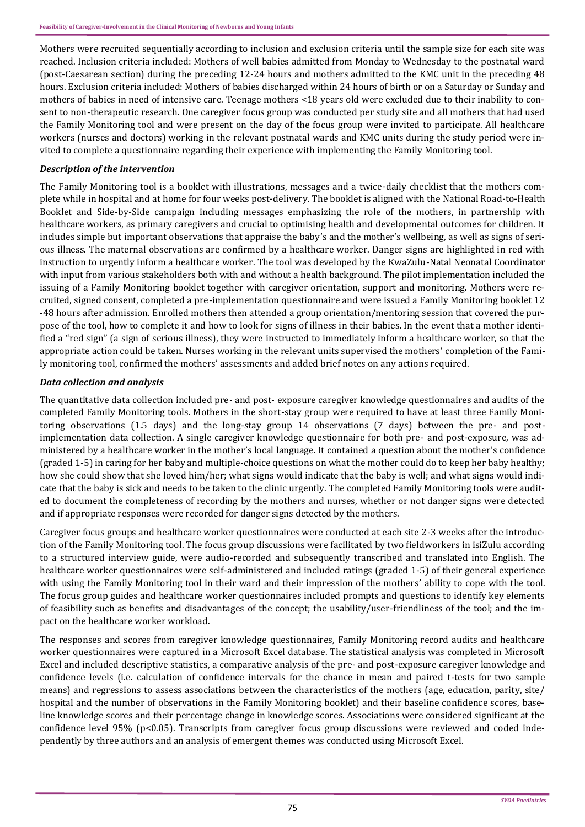Mothers were recruited sequentially according to inclusion and exclusion criteria until the sample size for each site was reached. Inclusion criteria included: Mothers of well babies admitted from Monday to Wednesday to the postnatal ward (post-Caesarean section) during the preceding 12-24 hours and mothers admitted to the KMC unit in the preceding 48 hours. Exclusion criteria included: Mothers of babies discharged within 24 hours of birth or on a Saturday or Sunday and mothers of babies in need of intensive care. Teenage mothers <18 years old were excluded due to their inability to consent to non-therapeutic research. One caregiver focus group was conducted per study site and all mothers that had used the Family Monitoring tool and were present on the day of the focus group were invited to participate. All healthcare workers (nurses and doctors) working in the relevant postnatal wards and KMC units during the study period were invited to complete a questionnaire regarding their experience with implementing the Family Monitoring tool.

## *Description of the intervention*

The Family Monitoring tool is a booklet with illustrations, messages and a twice-daily checklist that the mothers complete while in hospital and at home for four weeks post-delivery. The booklet is aligned with the National Road-to-Health Booklet and Side-by-Side campaign including messages emphasizing the role of the mothers, in partnership with healthcare workers, as primary caregivers and crucial to optimising health and developmental outcomes for children. It includes simple but important observations that appraise the baby's and the mother's wellbeing, as well as signs of serious illness. The maternal observations are confirmed by a healthcare worker. Danger signs are highlighted in red with instruction to urgently inform a healthcare worker. The tool was developed by the KwaZulu-Natal Neonatal Coordinator with input from various stakeholders both with and without a health background. The pilot implementation included the issuing of a Family Monitoring booklet together with caregiver orientation, support and monitoring. Mothers were recruited, signed consent, completed a pre-implementation questionnaire and were issued a Family Monitoring booklet 12 -48 hours after admission. Enrolled mothers then attended a group orientation/mentoring session that covered the purpose of the tool, how to complete it and how to look for signs of illness in their babies. In the event that a mother identified a "red sign" (a sign of serious illness), they were instructed to immediately inform a healthcare worker, so that the appropriate action could be taken. Nurses working in the relevant units supervised the mothers' completion of the Family monitoring tool, confirmed the mothers' assessments and added brief notes on any actions required.

# *Data collection and analysis*

The quantitative data collection included pre- and post- exposure caregiver knowledge questionnaires and audits of the completed Family Monitoring tools. Mothers in the short-stay group were required to have at least three Family Monitoring observations (1.5 days) and the long-stay group 14 observations (7 days) between the pre- and postimplementation data collection. A single caregiver knowledge questionnaire for both pre- and post-exposure, was administered by a healthcare worker in the mother's local language. It contained a question about the mother's confidence (graded 1-5) in caring for her baby and multiple-choice questions on what the mother could do to keep her baby healthy; how she could show that she loved him/her; what signs would indicate that the baby is well; and what signs would indicate that the baby is sick and needs to be taken to the clinic urgently. The completed Family Monitoring tools were audited to document the completeness of recording by the mothers and nurses, whether or not danger signs were detected and if appropriate responses were recorded for danger signs detected by the mothers.

Caregiver focus groups and healthcare worker questionnaires were conducted at each site 2-3 weeks after the introduction of the Family Monitoring tool. The focus group discussions were facilitated by two fieldworkers in isiZulu according to a structured interview guide, were audio-recorded and subsequently transcribed and translated into English. The healthcare worker questionnaires were self-administered and included ratings (graded 1-5) of their general experience with using the Family Monitoring tool in their ward and their impression of the mothers' ability to cope with the tool. The focus group guides and healthcare worker questionnaires included prompts and questions to identify key elements of feasibility such as benefits and disadvantages of the concept; the usability/user-friendliness of the tool; and the impact on the healthcare worker workload.

The responses and scores from caregiver knowledge questionnaires, Family Monitoring record audits and healthcare worker questionnaires were captured in a Microsoft Excel database. The statistical analysis was completed in Microsoft Excel and included descriptive statistics, a comparative analysis of the pre- and post-exposure caregiver knowledge and confidence levels (i.e. calculation of confidence intervals for the chance in mean and paired t-tests for two sample means) and regressions to assess associations between the characteristics of the mothers (age, education, parity, site/ hospital and the number of observations in the Family Monitoring booklet) and their baseline confidence scores, baseline knowledge scores and their percentage change in knowledge scores. Associations were considered significant at the confidence level 95% (p<0.05). Transcripts from caregiver focus group discussions were reviewed and coded independently by three authors and an analysis of emergent themes was conducted using Microsoft Excel.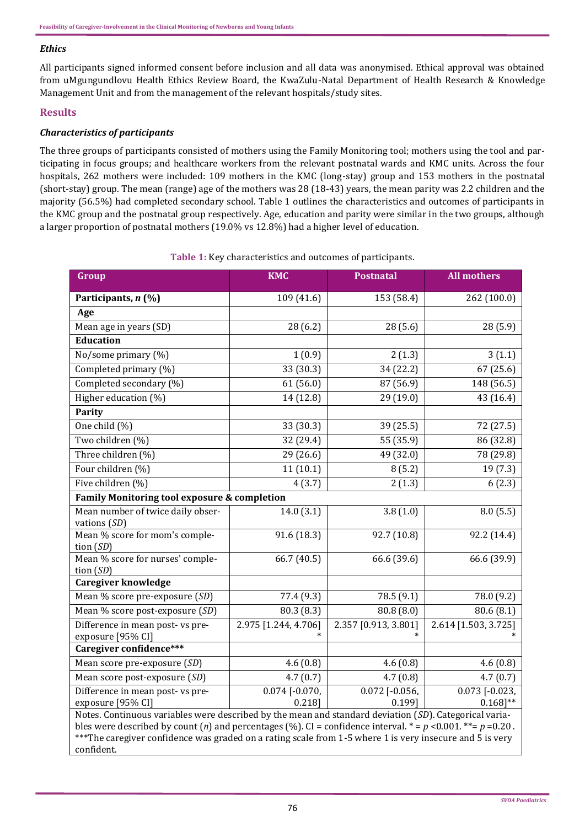#### *Ethics*

All participants signed informed consent before inclusion and all data was anonymised. Ethical approval was obtained from uMgungundlovu Health Ethics Review Board, the KwaZulu-Natal Department of Health Research & Knowledge Management Unit and from the management of the relevant hospitals/study sites.

#### **Results**

#### *Characteristics of participants*

The three groups of participants consisted of mothers using the Family Monitoring tool; mothers using the tool and participating in focus groups; and healthcare workers from the relevant postnatal wards and KMC units. Across the four hospitals, 262 mothers were included: 109 mothers in the KMC (long-stay) group and 153 mothers in the postnatal (short-stay) group. The mean (range) age of the mothers was 28 (18-43) years, the mean parity was 2.2 children and the majority (56.5%) had completed secondary school. Table 1 outlines the characteristics and outcomes of participants in the KMC group and the postnatal group respectively. Age, education and parity were similar in the two groups, although a larger proportion of postnatal mothers (19.0% vs 12.8%) had a higher level of education.

| Group                                                                                                                                                                                                                                                                                                                                                    | <b>KMC</b>                    | <b>Postnatal</b>           | <b>All mothers</b>              |  |  |  |
|----------------------------------------------------------------------------------------------------------------------------------------------------------------------------------------------------------------------------------------------------------------------------------------------------------------------------------------------------------|-------------------------------|----------------------------|---------------------------------|--|--|--|
| Participants, n (%)                                                                                                                                                                                                                                                                                                                                      | 109 (41.6)                    | 153 (58.4)                 | 262 (100.0)                     |  |  |  |
| Age                                                                                                                                                                                                                                                                                                                                                      |                               |                            |                                 |  |  |  |
| Mean age in years (SD)                                                                                                                                                                                                                                                                                                                                   | 28(6.2)                       | 28(5.6)                    | 28 (5.9)                        |  |  |  |
| <b>Education</b>                                                                                                                                                                                                                                                                                                                                         |                               |                            |                                 |  |  |  |
| No/some primary (%)                                                                                                                                                                                                                                                                                                                                      | 1(0.9)                        | 2(1.3)                     | 3(1.1)                          |  |  |  |
| Completed primary (%)                                                                                                                                                                                                                                                                                                                                    | 33(30.3)                      | 34 (22.2)                  | 67 (25.6)                       |  |  |  |
| Completed secondary (%)                                                                                                                                                                                                                                                                                                                                  | 61(56.0)                      | 87(56.9)                   | 148 (56.5)                      |  |  |  |
| Higher education (%)                                                                                                                                                                                                                                                                                                                                     | 14 (12.8)                     | 29 (19.0)                  | 43 (16.4)                       |  |  |  |
| <b>Parity</b>                                                                                                                                                                                                                                                                                                                                            |                               |                            |                                 |  |  |  |
| One child $(\%)$                                                                                                                                                                                                                                                                                                                                         | 33 (30.3)                     | 39 (25.5)                  | $\overline{7}$ 2 (27.5)         |  |  |  |
| Two children (%)                                                                                                                                                                                                                                                                                                                                         | 32 (29.4)                     | 55 (35.9)                  | 86 (32.8)                       |  |  |  |
| Three children (%)                                                                                                                                                                                                                                                                                                                                       | 29 (26.6)                     | 49 (32.0)                  | 78 (29.8)                       |  |  |  |
| Four children (%)                                                                                                                                                                                                                                                                                                                                        | 11(10.1)                      | 8(5.2)                     | 19 (7.3)                        |  |  |  |
| Five children (%)                                                                                                                                                                                                                                                                                                                                        | 4(3.7)                        | 2(1.3)                     | 6(2.3)                          |  |  |  |
| Family Monitoring tool exposure & completion                                                                                                                                                                                                                                                                                                             |                               |                            |                                 |  |  |  |
| Mean number of twice daily obser-<br>vations (SD)                                                                                                                                                                                                                                                                                                        | 14.0(3.1)                     | 3.8(1.0)                   | 8.0(5.5)                        |  |  |  |
| Mean % score for mom's comple-<br>tion $(SD)$                                                                                                                                                                                                                                                                                                            | 91.6(18.3)                    | 92.7(10.8)                 | 92.2(14.4)                      |  |  |  |
| Mean % score for nurses' comple-<br>tion $(SD)$                                                                                                                                                                                                                                                                                                          | 66.7 (40.5)                   | 66.6 (39.6)                | 66.6 (39.9)                     |  |  |  |
| <b>Caregiver knowledge</b>                                                                                                                                                                                                                                                                                                                               |                               |                            |                                 |  |  |  |
| Mean % score pre-exposure (SD)                                                                                                                                                                                                                                                                                                                           | 77.4 (9.3)                    | 78.5 (9.1)                 | 78.0 (9.2)                      |  |  |  |
| Mean % score post-exposure (SD)                                                                                                                                                                                                                                                                                                                          | 80.3 (8.3)                    | 80.8(8.0)                  | 80.6(8.1)                       |  |  |  |
| Difference in mean post-vs pre-<br>exposure [95% CI]                                                                                                                                                                                                                                                                                                     | 2.975 [1.244, 4.706]          | 2.357 [0.913, 3.801]       | 2.614 [1.503, 3.725]            |  |  |  |
| Caregiver confidence***                                                                                                                                                                                                                                                                                                                                  |                               |                            |                                 |  |  |  |
| Mean score pre-exposure (SD)                                                                                                                                                                                                                                                                                                                             | 4.6(0.8)                      | 4.6(0.8)                   | 4.6(0.8)                        |  |  |  |
| Mean score post-exposure (SD)                                                                                                                                                                                                                                                                                                                            | 4.7(0.7)                      | 4.7(0.8)                   | 4.7(0.7)                        |  |  |  |
| Difference in mean post- vs pre-<br>exposure [95% CI]                                                                                                                                                                                                                                                                                                    | $0.074$ [-0.070,<br>$0.218$ ] | $0.072$ [-0.056,<br>0.199] | $0.073$ [-0.023,<br>$0.168$ ]** |  |  |  |
| Notes. Continuous variables were described by the mean and standard deviation (SD). Categorical varia-<br>bles were described by count (n) and percentages (%). CI = confidence interval. $* = p < 0.001$ . $** = p = 0.20$ .<br>*** The caregiver confidence was graded on a rating scale from 1-5 where 1 is very insecure and 5 is very<br>confident. |                               |                            |                                 |  |  |  |

#### **Table 1:** Key characteristics and outcomes of participants.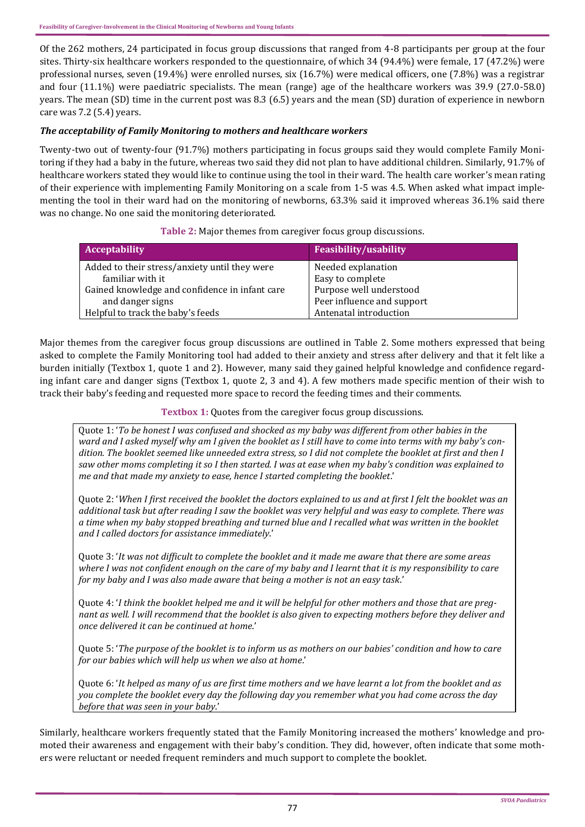Of the 262 mothers, 24 participated in focus group discussions that ranged from 4-8 participants per group at the four sites. Thirty-six healthcare workers responded to the questionnaire, of which 34 (94.4%) were female, 17 (47.2%) were professional nurses, seven (19.4%) were enrolled nurses, six (16.7%) were medical officers, one (7.8%) was a registrar and four (11.1%) were paediatric specialists. The mean (range) age of the healthcare workers was 39.9 (27.0-58.0) years. The mean (SD) time in the current post was 8.3 (6.5) years and the mean (SD) duration of experience in newborn care was 7.2 (5.4) years.

## *The acceptability of Family Monitoring to mothers and healthcare workers*

Twenty-two out of twenty-four (91.7%) mothers participating in focus groups said they would complete Family Monitoring if they had a baby in the future, whereas two said they did not plan to have additional children. Similarly, 91.7% of healthcare workers stated they would like to continue using the tool in their ward. The health care worker's mean rating of their experience with implementing Family Monitoring on a scale from 1-5 was 4.5. When asked what impact implementing the tool in their ward had on the monitoring of newborns, 63.3% said it improved whereas 36.1% said there was no change. No one said the monitoring deteriorated.

#### **Table 2:** Major themes from caregiver focus group discussions.

| <b>Acceptability</b>                           | <b>Feasibility/usability</b> |
|------------------------------------------------|------------------------------|
| Added to their stress/anxiety until they were  | Needed explanation           |
| familiar with it                               | Easy to complete             |
| Gained knowledge and confidence in infant care | Purpose well understood      |
| and danger signs                               | Peer influence and support   |
| Helpful to track the baby's feeds              | Antenatal introduction       |

Major themes from the caregiver focus group discussions are outlined in Table 2. Some mothers expressed that being asked to complete the Family Monitoring tool had added to their anxiety and stress after delivery and that it felt like a burden initially (Textbox 1, quote 1 and 2). However, many said they gained helpful knowledge and confidence regarding infant care and danger signs (Textbox 1, quote 2, 3 and 4). A few mothers made specific mention of their wish to track their baby's feeding and requested more space to record the feeding times and their comments.

**Textbox 1:** Quotes from the caregiver focus group discussions.

Quote 1: '*To be honest I was confused and shocked as my baby was different from other babies in the ward and I asked myself why am I given the booklet as I still have to come into terms with my baby's condition. The booklet seemed like unneeded extra stress, so I did not complete the booklet at first and then I saw other moms completing it so I then started. I was at ease when my baby's condition was explained to me and that made my anxiety to ease, hence I started completing the booklet*.'

Quote 2: '*When I first received the booklet the doctors explained to us and at first I felt the booklet was an additional task but after reading I saw the booklet was very helpful and was easy to complete. There was a time when my baby stopped breathing and turned blue and I recalled what was written in the booklet and I called doctors for assistance immediately*.'

Quote 3: '*It was not difficult to complete the booklet and it made me aware that there are some areas where I was not confident enough on the care of my baby and I learnt that it is my responsibility to care for my baby and I was also made aware that being a mother is not an easy task*.'

Quote 4: '*I think the booklet helped me and it will be helpful for other mothers and those that are pregnant as well. I will recommend that the booklet is also given to expecting mothers before they deliver and once delivered it can be continued at home*.'

Quote 5: '*The purpose of the booklet is to inform us as mothers on our babies' condition and how to care for our babies which will help us when we also at home*.'

Quote 6: '*It helped as many of us are first time mothers and we have learnt a lot from the booklet and as you complete the booklet every day the following day you remember what you had come across the day before that was seen in your baby*.'

Similarly, healthcare workers frequently stated that the Family Monitoring increased the mothers' knowledge and promoted their awareness and engagement with their baby's condition. They did, however, often indicate that some mothers were reluctant or needed frequent reminders and much support to complete the booklet.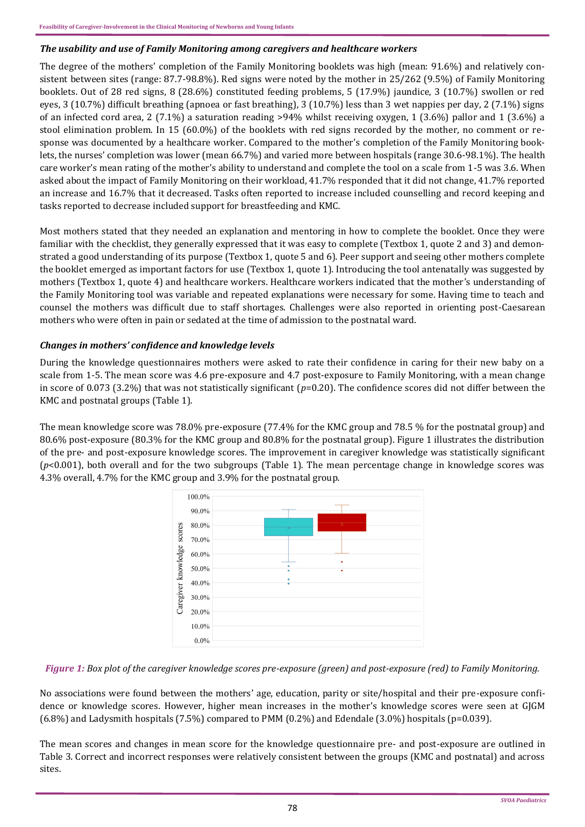#### *The usability and use of Family Monitoring among caregivers and healthcare workers*

The degree of the mothers' completion of the Family Monitoring booklets was high (mean: 91.6%) and relatively consistent between sites (range: 87.7-98.8%). Red signs were noted by the mother in 25/262 (9.5%) of Family Monitoring booklets. Out of 28 red signs, 8 (28.6%) constituted feeding problems, 5 (17.9%) jaundice, 3 (10.7%) swollen or red eyes, 3 (10.7%) difficult breathing (apnoea or fast breathing), 3 (10.7%) less than 3 wet nappies per day, 2 (7.1%) signs of an infected cord area, 2 (7.1%) a saturation reading >94% whilst receiving oxygen, 1 (3.6%) pallor and 1 (3.6%) a stool elimination problem. In 15 (60.0%) of the booklets with red signs recorded by the mother, no comment or response was documented by a healthcare worker. Compared to the mother's completion of the Family Monitoring booklets, the nurses' completion was lower (mean 66.7%) and varied more between hospitals (range 30.6-98.1%). The health care worker's mean rating of the mother's ability to understand and complete the tool on a scale from 1-5 was 3.6. When asked about the impact of Family Monitoring on their workload, 41.7% responded that it did not change, 41.7% reported an increase and 16.7% that it decreased. Tasks often reported to increase included counselling and record keeping and tasks reported to decrease included support for breastfeeding and KMC.

Most mothers stated that they needed an explanation and mentoring in how to complete the booklet. Once they were familiar with the checklist, they generally expressed that it was easy to complete (Textbox 1, quote 2 and 3) and demonstrated a good understanding of its purpose (Textbox 1, quote 5 and 6). Peer support and seeing other mothers complete the booklet emerged as important factors for use (Textbox 1, quote 1). Introducing the tool antenatally was suggested by mothers (Textbox 1, quote 4) and healthcare workers. Healthcare workers indicated that the mother's understanding of the Family Monitoring tool was variable and repeated explanations were necessary for some. Having time to teach and counsel the mothers was difficult due to staff shortages. Challenges were also reported in orienting post-Caesarean mothers who were often in pain or sedated at the time of admission to the postnatal ward.

#### *Changes in mothers' confidence and knowledge levels*

During the knowledge questionnaires mothers were asked to rate their confidence in caring for their new baby on a scale from 1-5. The mean score was 4.6 pre-exposure and 4.7 post-exposure to Family Monitoring, with a mean change in score of 0.073 (3.2%) that was not statistically significant (*p*=0.20). The confidence scores did not differ between the KMC and postnatal groups (Table 1).

The mean knowledge score was 78.0% pre-exposure (77.4% for the KMC group and 78.5 % for the postnatal group) and 80.6% post-exposure (80.3% for the KMC group and 80.8% for the postnatal group). Figure 1 illustrates the distribution of the pre- and post-exposure knowledge scores. The improvement in caregiver knowledge was statistically significant (*p*<0.001), both overall and for the two subgroups (Table 1). The mean percentage change in knowledge scores was 4.3% overall, 4.7% for the KMC group and 3.9% for the postnatal group.



*Figure 1: Box plot of the caregiver knowledge scores pre-exposure (green) and post-exposure (red) to Family Monitoring.*

No associations were found between the mothers' age, education, parity or site/hospital and their pre-exposure confidence or knowledge scores. However, higher mean increases in the mother's knowledge scores were seen at GJGM (6.8%) and Ladysmith hospitals (7.5%) compared to PMM (0.2%) and Edendale (3.0%) hospitals (p=0.039).

The mean scores and changes in mean score for the knowledge questionnaire pre- and post-exposure are outlined in Table 3. Correct and incorrect responses were relatively consistent between the groups (KMC and postnatal) and across sites.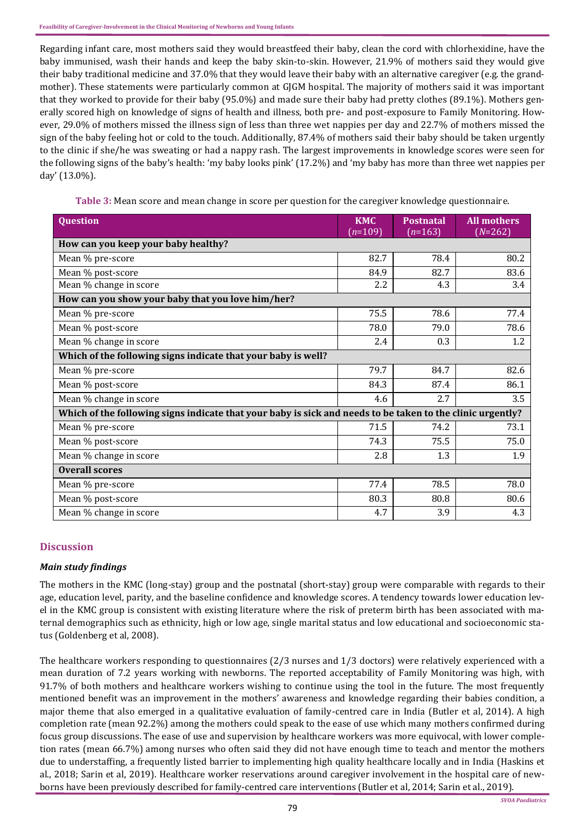Regarding infant care, most mothers said they would breastfeed their baby, clean the cord with chlorhexidine, have the baby immunised, wash their hands and keep the baby skin-to-skin. However, 21.9% of mothers said they would give their baby traditional medicine and 37.0% that they would leave their baby with an alternative caregiver (e.g. the grandmother). These statements were particularly common at GJGM hospital. The majority of mothers said it was important that they worked to provide for their baby (95.0%) and made sure their baby had pretty clothes (89.1%). Mothers generally scored high on knowledge of signs of health and illness, both pre- and post-exposure to Family Monitoring. However, 29.0% of mothers missed the illness sign of less than three wet nappies per day and 22.7% of mothers missed the sign of the baby feeling hot or cold to the touch. Additionally, 87.4% of mothers said their baby should be taken urgently to the clinic if she/he was sweating or had a nappy rash. The largest improvements in knowledge scores were seen for the following signs of the baby's health: 'my baby looks pink' (17.2%) and 'my baby has more than three wet nappies per day' (13.0%).

**Table 3:** Mean score and mean change in score per question for the caregiver knowledge questionnaire.

| <b>Question</b>                                                                                            | <b>KMC</b><br>$(n=109)$ | <b>Postnatal</b><br>$(n=163)$ | <b>All mothers</b><br>$(N=262)$ |  |  |
|------------------------------------------------------------------------------------------------------------|-------------------------|-------------------------------|---------------------------------|--|--|
| How can you keep your baby healthy?                                                                        |                         |                               |                                 |  |  |
| Mean % pre-score                                                                                           | 82.7                    | 78.4                          | 80.2                            |  |  |
| Mean % post-score                                                                                          | 84.9                    | 82.7                          | 83.6                            |  |  |
| Mean % change in score                                                                                     | 2.2                     | 4.3                           | 3.4                             |  |  |
| How can you show your baby that you love him/her?                                                          |                         |                               |                                 |  |  |
| Mean % pre-score                                                                                           | 75.5                    | 78.6                          | 77.4                            |  |  |
| Mean % post-score                                                                                          | 78.0                    | 79.0                          | 78.6                            |  |  |
| Mean % change in score                                                                                     | 2.4                     | 0.3                           | 1.2                             |  |  |
| Which of the following signs indicate that your baby is well?                                              |                         |                               |                                 |  |  |
| Mean % pre-score                                                                                           | 79.7                    | 84.7                          | 82.6                            |  |  |
| Mean % post-score                                                                                          | 84.3                    | 87.4                          | 86.1                            |  |  |
| Mean % change in score                                                                                     | 4.6                     | 2.7                           | 3.5                             |  |  |
| Which of the following signs indicate that your baby is sick and needs to be taken to the clinic urgently? |                         |                               |                                 |  |  |
| Mean % pre-score                                                                                           | 71.5                    | 74.2                          | 73.1                            |  |  |
| Mean % post-score                                                                                          | 74.3                    | 75.5                          | 75.0                            |  |  |
| Mean % change in score                                                                                     | 2.8                     | 1.3                           | 1.9                             |  |  |
| <b>Overall scores</b>                                                                                      |                         |                               |                                 |  |  |
| Mean % pre-score                                                                                           | 77.4                    | 78.5                          | 78.0                            |  |  |
| Mean % post-score                                                                                          | 80.3                    | 80.8                          | 80.6                            |  |  |
| Mean % change in score                                                                                     | 4.7                     | 3.9                           | 4.3                             |  |  |

# **Discussion**

#### *Main study findings*

The mothers in the KMC (long-stay) group and the postnatal (short-stay) group were comparable with regards to their age, education level, parity, and the baseline confidence and knowledge scores. A tendency towards lower education level in the KMC group is consistent with existing literature where the risk of preterm birth has been associated with maternal demographics such as ethnicity, high or low age, single marital status and low educational and socioeconomic status (Goldenberg et al, 2008).

The healthcare workers responding to questionnaires (2/3 nurses and 1/3 doctors) were relatively experienced with a mean duration of 7.2 years working with newborns. The reported acceptability of Family Monitoring was high, with 91.7% of both mothers and healthcare workers wishing to continue using the tool in the future. The most frequently mentioned benefit was an improvement in the mothers' awareness and knowledge regarding their babies condition, a major theme that also emerged in a qualitative evaluation of family-centred care in India (Butler et al, 2014). A high completion rate (mean 92.2%) among the mothers could speak to the ease of use which many mothers confirmed during focus group discussions. The ease of use and supervision by healthcare workers was more equivocal, with lower completion rates (mean 66.7%) among nurses who often said they did not have enough time to teach and mentor the mothers due to understaffing, a frequently listed barrier to implementing high quality healthcare locally and in India (Haskins et al., 2018; Sarin et al, 2019). Healthcare worker reservations around caregiver involvement in the hospital care of newborns have been previously described for family-centred care interventions (Butler et al, 2014; Sarin et al., 2019).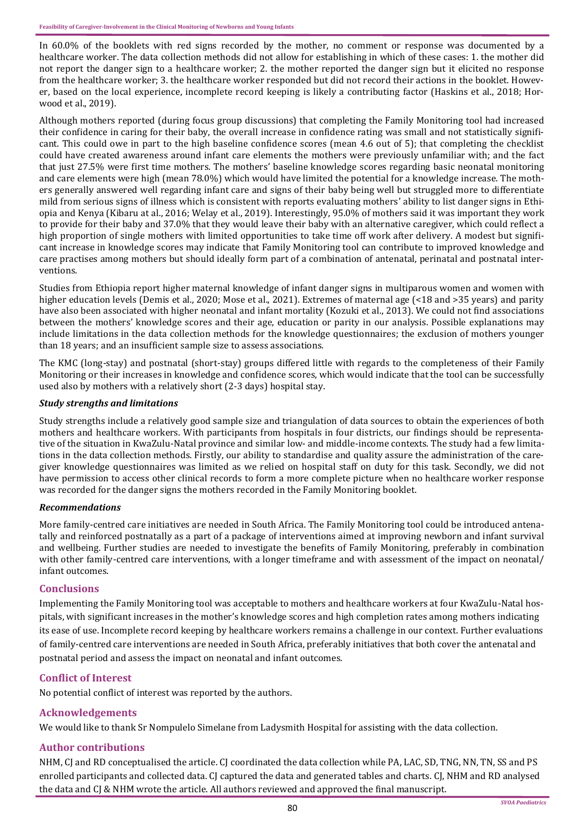In 60.0% of the booklets with red signs recorded by the mother, no comment or response was documented by a healthcare worker. The data collection methods did not allow for establishing in which of these cases: 1. the mother did not report the danger sign to a healthcare worker; 2. the mother reported the danger sign but it elicited no response from the healthcare worker; 3. the healthcare worker responded but did not record their actions in the booklet. However, based on the local experience, incomplete record keeping is likely a contributing factor (Haskins et al., 2018; Horwood et al., 2019).

Although mothers reported (during focus group discussions) that completing the Family Monitoring tool had increased their confidence in caring for their baby, the overall increase in confidence rating was small and not statistically significant. This could owe in part to the high baseline confidence scores (mean 4.6 out of 5); that completing the checklist could have created awareness around infant care elements the mothers were previously unfamiliar with; and the fact that just 27.5% were first time mothers. The mothers' baseline knowledge scores regarding basic neonatal monitoring and care elements were high (mean 78.0%) which would have limited the potential for a knowledge increase. The mothers generally answered well regarding infant care and signs of their baby being well but struggled more to differentiate mild from serious signs of illness which is consistent with reports evaluating mothers' ability to list danger signs in Ethiopia and Kenya (Kibaru at al., 2016; Welay et al., 2019). Interestingly, 95.0% of mothers said it was important they work to provide for their baby and 37.0% that they would leave their baby with an alternative caregiver, which could reflect a high proportion of single mothers with limited opportunities to take time off work after delivery. A modest but significant increase in knowledge scores may indicate that Family Monitoring tool can contribute to improved knowledge and care practises among mothers but should ideally form part of a combination of antenatal, perinatal and postnatal interventions.

Studies from Ethiopia report higher maternal knowledge of infant danger signs in multiparous women and women with higher education levels (Demis et al., 2020; Mose et al., 2021). Extremes of maternal age (<18 and >35 years) and parity have also been associated with higher neonatal and infant mortality (Kozuki et al., 2013). We could not find associations between the mothers' knowledge scores and their age, education or parity in our analysis. Possible explanations may include limitations in the data collection methods for the knowledge questionnaires; the exclusion of mothers younger than 18 years; and an insufficient sample size to assess associations.

The KMC (long-stay) and postnatal (short-stay) groups differed little with regards to the completeness of their Family Monitoring or their increases in knowledge and confidence scores, which would indicate that the tool can be successfully used also by mothers with a relatively short (2-3 days) hospital stay.

#### *Study strengths and limitations*

Study strengths include a relatively good sample size and triangulation of data sources to obtain the experiences of both mothers and healthcare workers. With participants from hospitals in four districts, our findings should be representative of the situation in KwaZulu-Natal province and similar low- and middle-income contexts. The study had a few limitations in the data collection methods. Firstly, our ability to standardise and quality assure the administration of the caregiver knowledge questionnaires was limited as we relied on hospital staff on duty for this task. Secondly, we did not have permission to access other clinical records to form a more complete picture when no healthcare worker response was recorded for the danger signs the mothers recorded in the Family Monitoring booklet.

#### *Recommendations*

More family-centred care initiatives are needed in South Africa. The Family Monitoring tool could be introduced antenatally and reinforced postnatally as a part of a package of interventions aimed at improving newborn and infant survival and wellbeing. Further studies are needed to investigate the benefits of Family Monitoring, preferably in combination with other family-centred care interventions, with a longer timeframe and with assessment of the impact on neonatal/ infant outcomes.

#### **Conclusions**

Implementing the Family Monitoring tool was acceptable to mothers and healthcare workers at four KwaZulu-Natal hospitals, with significant increases in the mother's knowledge scores and high completion rates among mothers indicating its ease of use. Incomplete record keeping by healthcare workers remains a challenge in our context. Further evaluations of family-centred care interventions are needed in South Africa, preferably initiatives that both cover the antenatal and postnatal period and assess the impact on neonatal and infant outcomes.

#### **Conflict of Interest**

No potential conflict of interest was reported by the authors.

#### **Acknowledgements**

We would like to thank Sr Nompulelo Simelane from Ladysmith Hospital for assisting with the data collection.

#### **Author contributions**

NHM, CJ and RD conceptualised the article. CJ coordinated the data collection while PA, LAC, SD, TNG, NN, TN, SS and PS enrolled participants and collected data. CJ captured the data and generated tables and charts. CJ, NHM and RD analysed the data and CJ & NHM wrote the article. All authors reviewed and approved the final manuscript.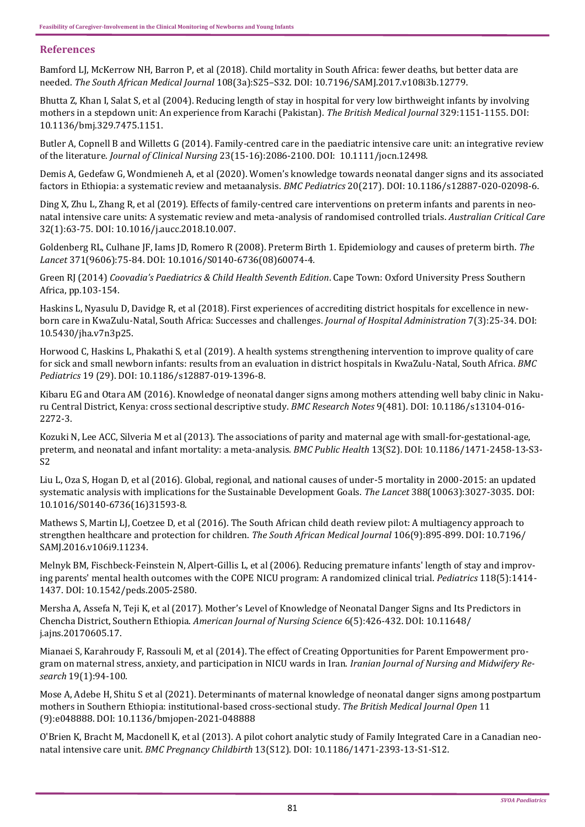## **References**

[Bamford LJ, McKerrow NH, Barron P, et al \(2018\). Child mortality in South Africa: fewer deaths, but better data are](http://www.samj.org.za/index.php/samj/article/view/12238)  needed. *[The South African Medical Journal](http://www.samj.org.za/index.php/samj/article/view/12238)* 108(3a):S25–S32. DOI: [10.7196/SAMJ.2017.v108i3b.12779.](http://dx.doi.org/10.7196%2FSAMJ.2017.v108i3b.12779)

[Bhutta Z, Khan I, Salat S, et al \(2004\). Reducing length of stay in hospital for very low birthweight infants by involving](https://pubmed.ncbi.nlm.nih.gov/15539671/)  [mothers in a stepdown unit: An experience from Karachi \(Pakistan\).](https://pubmed.ncbi.nlm.nih.gov/15539671/) *The British Medical Journal* 329:1151-1155. DOI: [10.1136/bmj.329.7475.1151.](https://doi.org/10.1136/bmj.329.7475.1151)

Butler A, Copnell B and Willetts G (2014). Family-[centred care in the paediatric intensive care unit: an integrative review](https://pubmed.ncbi.nlm.nih.gov/24372988/)  of the literature. *[Journal of Clinical Nursing](https://pubmed.ncbi.nlm.nih.gov/24372988/)* 23(15-16):2086-2100. DOI: [10.1111/jocn.12498.](https://doi.org/10.1111/jocn.12498)

Demis A, Gedefaw G, Wondmieneh A, et al (2020). Women'[s knowledge towards neonatal danger signs and its associated](https://bmcpediatr.biomedcentral.com/articles/10.1186/s12887-020-02098-6)  [factors in Ethiopia: a systematic review and metaanalysis.](https://bmcpediatr.biomedcentral.com/articles/10.1186/s12887-020-02098-6) *BMC Pediatrics* 20(217). DOI: [10.1186/s12887](https://doi.org/10.1186/s12887-020-02098-6)-020-02098-6.

Ding X, Zhu L, Zhang R, et al (2019). Effects of family-[centred care interventions on preterm infants and parents in neo](https://pubmed.ncbi.nlm.nih.gov/30554939/)[natal intensive care units: A systematic review and meta](https://pubmed.ncbi.nlm.nih.gov/30554939/)-analysis of randomised controlled trials. *Australian Critical Care* [32\(1\):63](https://pubmed.ncbi.nlm.nih.gov/30554939/)-75. DOI: [10.1016/j.aucc.2018.10.007.](https://doi.org/10.1016/j.aucc.2018.10.007) 

[Goldenberg RL, Culhane JF, Iams JD, Romero R \(2008\). Preterm Birth 1. Epidemiology and causes of preterm birth.](https://pubmed.ncbi.nlm.nih.gov/18177778/) *The Lancet* [371\(9606\):75](https://pubmed.ncbi.nlm.nih.gov/18177778/)-84. DOI: 10.1016/S0140-[6736\(08\)60074](https://doi.org/10.1016/S0140-6736(08)60074-4)-4*.*

Green RJ (2014) *Coovadia's Paediatrics & Child Health Seventh Edition*[. Cape Town: Oxford University Press Southern](https://global.oup.com/academic/product/coovadias-paediatrics-and-child-health-a-manual-for-health-professionals-in-developing-countries-9780199053940?cc=us&lang=en&)  [Africa, pp.103](https://global.oup.com/academic/product/coovadias-paediatrics-and-child-health-a-manual-for-health-professionals-in-developing-countries-9780199053940?cc=us&lang=en&)-154.

[Haskins L, Nyasulu D, Davidge R, et al \(2018\). First experiences of accrediting district hospitals for excellence in new](https://www.sciedupress.com/journal/index.php/jha/article/view/12853)born care in KwaZulu-[Natal, South Africa: Successes and challenges.](https://www.sciedupress.com/journal/index.php/jha/article/view/12853) *Journal of Hospital Administration* 7(3):25-34. DOI: [10.5430/jha.v7n3p25.](https://doi.org/10.5430/jha.v7n3p25)

[Horwood C, Haskins L, Phakathi S, et al \(2019\). A health systems strengthening intervention to improve quality of care](https://bmcpediatr.biomedcentral.com/articles/10.1186/s12887-019-1396-8)  [for sick and small newborn infants: results from an evaluation in district hospitals in KwaZulu](https://bmcpediatr.biomedcentral.com/articles/10.1186/s12887-019-1396-8)-Natal, South Africa. *BMC [Pediatrics](https://bmcpediatr.biomedcentral.com/articles/10.1186/s12887-019-1396-8)* 19 (29). DOI: [10.1186/s12887](https://doi.org/10.1186/s12887-019-1396-8)-019-1396-8.

[Kibaru EG and Otara AM \(2016\). Knowledge of neonatal danger signs among mothers attending well baby clinic in Naku](https://bmcresnotes.biomedcentral.com/articles/10.1186/s13104-016-2272-3)[ru Central District, Kenya: cross sectional descriptive study.](https://bmcresnotes.biomedcentral.com/articles/10.1186/s13104-016-2272-3) *BMC Research Notes* 9(481). DOI: [10.1186/s13104](https://doi.org/10.1186/s13104-016-2272-3)-016- [2272](https://doi.org/10.1186/s13104-016-2272-3)-3.

[Kozuki N, Lee ACC, Silveria M et al \(2013\). The associations of parity and maternal age with small](https://bmcpublichealth.biomedcentral.com/articles/10.1186/1471-2458-13-S3-S2)-for-gestational-age, [preterm, and neonatal and infant mortality: a meta](https://bmcpublichealth.biomedcentral.com/articles/10.1186/1471-2458-13-S3-S2)-analysis. *BMC Public Health* 13(S2). DOI: [10.1186/1471](https://doi.org/10.1186/1471-2458-13-S3-S2)-2458-13-S3- [S2](https://doi.org/10.1186/1471-2458-13-S3-S2) 

[Liu L, Oza S, Hogan D, et al \(2016\). Global, regional, and national causes of under](https://pubmed.ncbi.nlm.nih.gov/27839855/)-5 mortality in 2000-2015: an updated [systematic analysis with implications for the Sustainable Development Goals.](https://pubmed.ncbi.nlm.nih.gov/27839855/) *The Lancet* 388(10063):3027-3035. DOI: 10.1016/S0140-[6736\(16\)31593](https://doi.org/10.1016/S0140-6736(16)31593-8)-8.

[Mathews S, Martin LJ, Coetzee D, et al \(2016\). The South African child death review pilot: A multiagency approach to](http://www.samj.org.za/index.php/samj/article/view/11234)  [strengthen healthcare and protection for children.](http://www.samj.org.za/index.php/samj/article/view/11234) *The South African Medical Journal* 106(9):895-899. DOI: [10.7196/](https://doi.org/10.7196/SAMJ.2016.v106i9.11234) [SAMJ.2016.v106i9.11234.](https://doi.org/10.7196/SAMJ.2016.v106i9.11234) 

Melnyk BM, Fischbeck-Feinstein N, Alpert-[Gillis L, et al \(2006\). Reducing premature infants' length of stay and improv](https://pubmed.ncbi.nlm.nih.gov/17043133/)[ing parents' mental health outcomes with the COPE NICU program: A randomized clinical trial.](https://pubmed.ncbi.nlm.nih.gov/17043133/) *Pediatrics* 118(5):1414- [1437.](https://pubmed.ncbi.nlm.nih.gov/17043133/) DOI: [10.1542/peds.2005](https://doi.org/10.1542/peds.2005-2580)-2580.

Mersha A, Assefa N, Teji K, et al (2017). Mother'[s Level of Knowledge of Neonatal Danger Signs and Its Predictors in](https://www.sciencepublishinggroup.com/journal/paperinfo?journalid=152&doi=10.11648/j.ajns.20170605.17)  [Chencha District, Southern Ethiopia.](https://www.sciencepublishinggroup.com/journal/paperinfo?journalid=152&doi=10.11648/j.ajns.20170605.17) *American Journal of Nursing Science* 6(5):426-432. DOI: [10.11648/](https://doi.org/10.11648/j.ajns.20170605.17) [j.ajns.20170605.17.](https://doi.org/10.11648/j.ajns.20170605.17)

[Mianaei S, Karahroudy F, Rassouli M, et al \(2014\). The effect of Creating Opportunities for Parent Empowerment pro](https://pubmed.ncbi.nlm.nih.gov/24554967/#:~:text=Results%3A%20Mothers%20in%20the%20intervention,in%20the%20comparison%20group%20increased.)[gram on maternal stress, anxiety, and participation in NICU wards in Iran.](https://pubmed.ncbi.nlm.nih.gov/24554967/#:~:text=Results%3A%20Mothers%20in%20the%20intervention,in%20the%20comparison%20group%20increased.) *Iranian Journal of Nursing and Midwifery Research* [19\(1\):94](https://pubmed.ncbi.nlm.nih.gov/24554967/#:~:text=Results%3A%20Mothers%20in%20the%20intervention,in%20the%20comparison%20group%20increased.)-100.

[Mose A, Adebe H, Shitu S et al \(2021\). Determinants of maternal knowledge of neonatal danger signs among postpartum](https://pubmed.ncbi.nlm.nih.gov/34475165/)  [mothers in Southern Ethiopia: institutional](https://pubmed.ncbi.nlm.nih.gov/34475165/)-based cross-sectional study. *The British Medical Journal Open* 11 [\(9\):e048888.](https://pubmed.ncbi.nlm.nih.gov/34475165/) DOI: [10.1136/bmjopen](https://doi.org/10.1136/bmjopen-2021-048888)-2021-048888

[O'Brien K, Bracht M, Macdonell K, et al \(2013\). A pilot cohort analytic study of Family Integrated Care in a Canadian neo](https://bmcpregnancychildbirth.biomedcentral.com/articles/10.1186/1471-2393-13-S1-S12)natal intensive care unit. *[BMC Pregnancy Childbirth](https://bmcpregnancychildbirth.biomedcentral.com/articles/10.1186/1471-2393-13-S1-S12)* 13(S12). DOI: [10.1186/1471](http://dx.doi.org/10.1186/1471-2393-13-S1-S12)-2393-13-S1-S12.